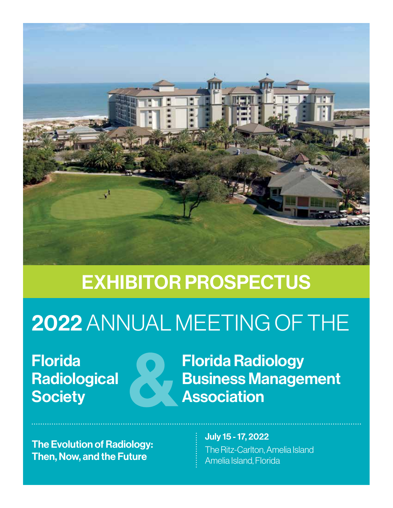

# EXHIBITOR PROSPECTUS

# 2022ANNUAL MEETING OF THE

Florida **Radiological Society** 



The Evolution of Radiology: Then, Now, and the Future

Florida Radiology Business Management Association

> July 15 - 17, 2022 The Ritz-Carlton, Amelia Island Amelia Island, Florida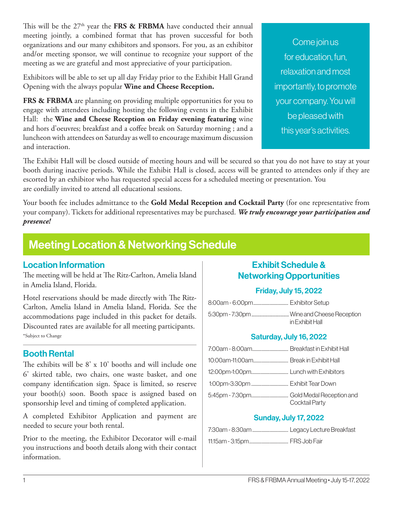This will be the  $27<sup>th</sup>$  year the **FRS & FRBMA** have conducted their annual meeting jointly, a combined format that has proven successful for both organizations and our many exhibitors and sponsors. For you, as an exhibitor and/or meeting sponsor, we will continue to recognize your support of the meeting as we are grateful and most appreciative of your participation.

Exhibitors will be able to set up all day Friday prior to the Exhibit Hall Grand Opening with the always popular **Wine and Cheese Reception.**

FRS & FRBMA are planning on providing multiple opportunities for you to engage with attendees including hosting the following events in the Exhibit Hall: the **Wine and Cheese Reception on Friday evening featuring** wine and hors d'oeuvres; breakfast and a coffee break on Saturday morning ; and a luncheon with attendees on Saturday as well to encourage maximum discussion and interaction.

Come join us for education, fun, relaxation and most importantly, to promote your company. You will be pleased with this year's activities.

The Exhibit Hall will be closed outside of meeting hours and will be secured so that you do not have to stay at your booth during inactive periods. While the Exhibit Hall is closed, access will be granted to attendees only if they are escorted by an exhibitor who has requested special access for a scheduled meeting or presentation. You are cordially invited to attend all educational sessions.

Your booth fee includes admittance to the **Gold Medal Reception and Cocktail Party** (for one representative from your company). Tickets for additional representatives may be purchased. *We truly encourage your participation and presence!*

# Meeting Location & Networking Schedule

### Location Information

The meeting will be held at The Ritz-Carlton, Amelia Island in Amelia Island, Florida.

Hotel reservations should be made directly with The Ritz-Carlton, Amelia Island in Amelia Island, Florida. See the accommodations page included in this packet for details. Discounted rates are available for all meeting participants. \*Subject to Change

### Booth Rental

The exhibits will be 8' x 10' booths and will include one 6' skirted table, two chairs, one waste basket, and one company identification sign. Space is limited, so reserve your booth(s) soon. Booth space is assigned based on sponsorship level and timing of completed application.

A completed Exhibitor Application and payment are needed to secure your both rental.

Prior to the meeting, the Exhibitor Decorator will e-mail you instructions and booth details along with their contact information.

### Exhibit Schedule & Networking Opportunities

### Friday, July 15, 2022

| in Exhibit Hall |
|-----------------|

### Saturday, July 16, 2022

| Cocktail Party |
|----------------|

### Sunday, July 17, 2022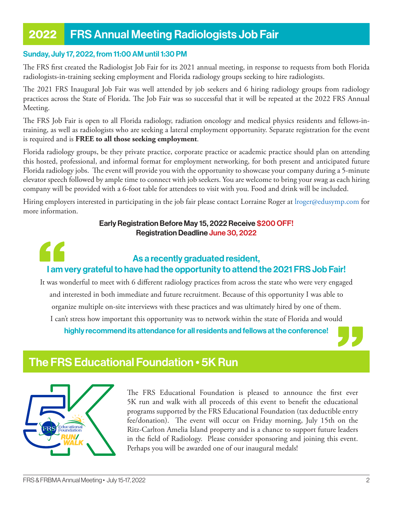# 2022 FRS Annual Meeting Radiologists Job Fair

#### Sunday, July 17, 2022, from 11:00 AM until 1:30 PM

The FRS first created the Radiologist Job Fair for its 2021 annual meeting, in response to requests from both Florida radiologists-in-training seeking employment and Florida radiology groups seeking to hire radiologists.

The 2021 FRS Inaugural Job Fair was well attended by job seekers and 6 hiring radiology groups from radiology practices across the State of Florida. The Job Fair was so successful that it will be repeated at the 2022 FRS Annual Meeting.

The FRS Job Fair is open to all Florida radiology, radiation oncology and medical physics residents and fellows-intraining, as well as radiologists who are seeking a lateral employment opportunity. Separate registration for the event is required and is **FREE to all those seeking employment**.

Florida radiology groups, be they private practice, corporate practice or academic practice should plan on attending this hosted, professional, and informal format for employment networking, for both present and anticipated future Florida radiology jobs. The event will provide you with the opportunity to showcase your company during a 5-minute elevator speech followed by ample time to connect with job seekers. You are welcome to bring your swag as each hiring company will be provided with a 6-foot table for attendees to visit with you. Food and drink will be included.

Hiring employers interested in participating in the job fair please contact Lorraine Roger at lroger@edusymp.com for more information.

#### Early Registration Before May 15, 2022 Receive \$200 OFF! Registration Deadline June 30, 2022

# As a recently graduated resident, I am very grateful to have had the opportunity to attend the 2021 FRS Job Fair!

It was wonderful to meet with 6 different radiology practices from across the state who were very engaged and interested in both immediate and future recruitment. Because of this opportunity I was able to organize multiple on-site interviews with these practices and was ultimately hired by one of them. I can't stress how important this opportunity was to network within the state of Florida and would highly recommend its attendance for all residents and fellows at the conference!

### The FRS Educational Foundation • 5K Run



The FRS Educational Foundation is pleased to announce the first ever 5K run and walk with all proceeds of this event to benefit the educational programs supported by the FRS Educational Foundation (tax deductible entry fee/donation). The event will occur on Friday morning, July 15th on the Ritz-Carlton Amelia Island property and is a chance to support future leaders in the field of Radiology. Please consider sponsoring and joining this event. Perhaps you will be awarded one of our inaugural medals!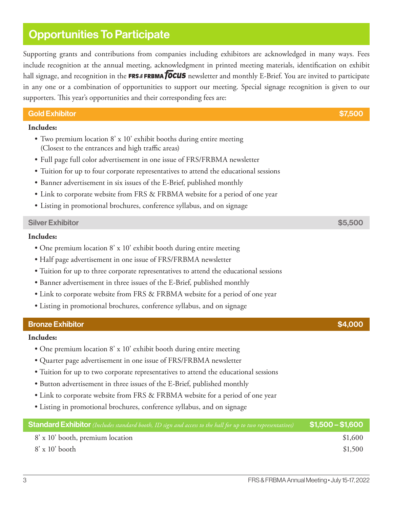# Opportunities To Participate

Supporting grants and contributions from companies including exhibitors are acknowledged in many ways. Fees include recognition at the annual meeting, acknowledgment in printed meeting materials, identification on exhibit hall signage, and recognition in the FRS&FRBMATOCUS newsletter and monthly E-Brief. You are invited to participate in any one or a combination of opportunities to support our meeting. Special signage recognition is given to our supporters. This year's opportunities and their corresponding fees are:

| <b>Gold Exhibitor</b><br>\$7,500 |
|----------------------------------|
|----------------------------------|

#### **Includes:**

- Two premium location 8' x 10' exhibit booths during entire meeting (Closest to the entrances and high traffic areas)
- Full page full color advertisement in one issue of FRS/FRBMA newsletter
- Tuition for up to four corporate representatives to attend the educational sessions
- Banner advertisement in six issues of the E-Brief, published monthly
- Link to corporate website from FRS & FRBMA website for a period of one year
- Listing in promotional brochures, conference syllabus, and on signage

#### Silver Exhibitor \$5,500

#### **Includes:**

- One premium location 8' x 10' exhibit booth during entire meeting
- Half page advertisement in one issue of FRS/FRBMA newsletter
- Tuition for up to three corporate representatives to attend the educational sessions
- Banner advertisement in three issues of the E-Brief, published monthly
- Link to corporate website from FRS & FRBMA website for a period of one year
- Listing in promotional brochures, conference syllabus, and on signage

#### Bronze Exhibitor \$4,000

#### **Includes:**

- One premium location 8' x 10' exhibit booth during entire meeting
- Quarter page advertisement in one issue of FRS/FRBMA newsletter
- Tuition for up to two corporate representatives to attend the educational sessions
- Button advertisement in three issues of the E-Brief, published monthly
- Link to corporate website from FRS & FRBMA website for a period of one year
- Listing in promotional brochures, conference syllabus, and on signage

| Standard Exhibitor (Includes standard booth, ID sign and access to the hall for up to two representatives) | $$1,500 - $1,600$ |
|------------------------------------------------------------------------------------------------------------|-------------------|
| 8' x 10' booth, premium location                                                                           | \$1,600           |
| $8' \times 10'$ booth                                                                                      | \$1,500           |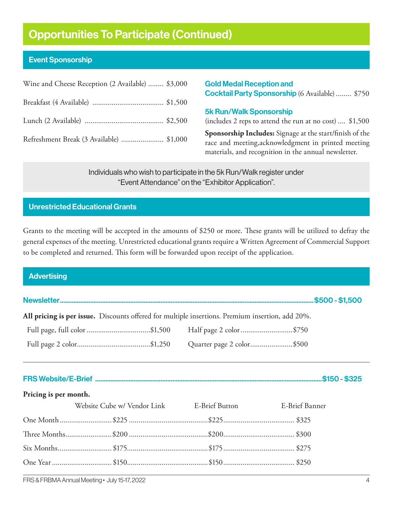# Opportunities To Participate (Continued)

### Event Sponsorship

| Wine and Cheese Reception (2 Available)  \$3,000 |  |
|--------------------------------------------------|--|
|                                                  |  |
|                                                  |  |
| Refreshment Break (3 Available)  \$1,000         |  |

Gold Medal Reception and Cocktail Party Sponsorship (6 Available)........ \$750

#### 5k Run/Walk Sponsorship

(includes 2 reps to attend the run at no cost) .... \$1,500

**Sponsorship Includes:** Signage at the start/finish of the race and meeting,acknowledgment in printed meeting materials, and recognition in the annual newsletter.

Individuals who wish to participate in the 5k Run/Walk register under "Event Attendance" on the "Exhibitor Application".

### Unrestricted Educational Grants

Grants to the meeting will be accepted in the amounts of \$250 or more. These grants will be utilized to defray the general expenses of the meeting. Unrestricted educational grants require a Written Agreement of Commercial Support to be completed and returned. This form will be forwarded upon receipt of the application.

#### **Advertising**

Newsletter.......................................................................................................................................................\$500 - \$1,500

**All pricing is per issue.** Discounts offered for multiple insertions. Premium insertion, add 20%.

| Full page, full color \$1,500 | Half page 2 color\$750    |  |
|-------------------------------|---------------------------|--|
|                               | Quarter page 2 color\$500 |  |

FRS Website/E-Brief .......................................................................................................................................\$150 - \$325

#### **Pricing is per month.**

| Website Cube w/ Vendor Link E-Brief Button E-Brief Banner |  |
|-----------------------------------------------------------|--|
|                                                           |  |
|                                                           |  |
|                                                           |  |
|                                                           |  |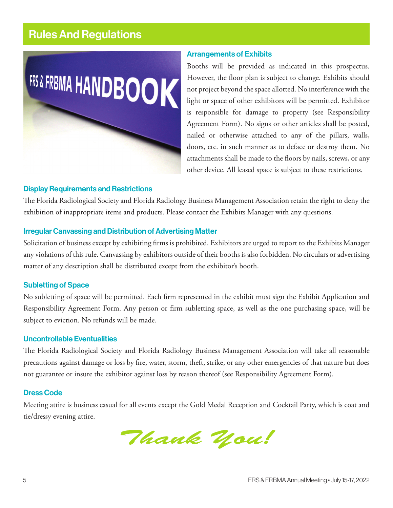# Rules And Regulations



#### Arrangements of Exhibits

Booths will be provided as indicated in this prospectus. However, the floor plan is subject to change. Exhibits should not project beyond the space allotted. No interference with the light or space of other exhibitors will be permitted. Exhibitor is responsible for damage to property (see Responsibility Agreement Form). No signs or other articles shall be posted, nailed or otherwise attached to any of the pillars, walls, doors, etc. in such manner as to deface or destroy them. No attachments shall be made to the floors by nails, screws, or any other device. All leased space is subject to these restrictions.

#### Display Requirements and Restrictions

The Florida Radiological Society and Florida Radiology Business Management Association retain the right to deny the exhibition of inappropriate items and products. Please contact the Exhibits Manager with any questions.

#### Irregular Canvassing and Distribution of Advertising Matter

Solicitation of business except by exhibiting firms is prohibited. Exhibitors are urged to report to the Exhibits Manager any violations of this rule. Canvassing by exhibitors outside of their booths is also forbidden. No circulars or advertising matter of any description shall be distributed except from the exhibitor's booth.

#### Subletting of Space

No subletting of space will be permitted. Each firm represented in the exhibit must sign the Exhibit Application and Responsibility Agreement Form. Any person or firm subletting space, as well as the one purchasing space, will be subject to eviction. No refunds will be made.

#### Uncontrollable Eventualities

The Florida Radiological Society and Florida Radiology Business Management Association will take all reasonable precautions against damage or loss by fire, water, storm, theft, strike, or any other emergencies of that nature but does not guarantee or insure the exhibitor against loss by reason thereof (see Responsibility Agreement Form).

#### Dress Code

Meeting attire is business casual for all events except the Gold Medal Reception and Cocktail Party, which is coat and tie/dressy evening attire.

Thank you!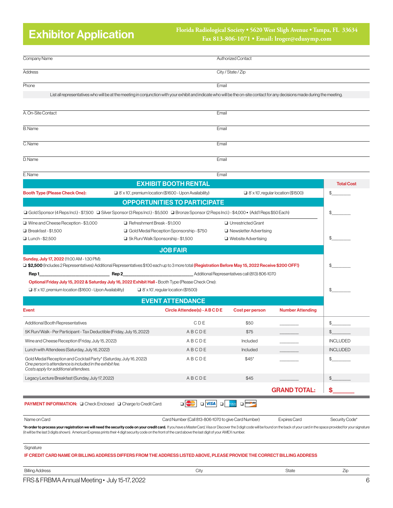# Exhibitor Application

#### **Florida Radiological Society • 5620 West Sligh Avenue • Tampa, FL 33634 Fax 813-806-1071 • Email: lroger@edusymp.com**

| Company Name                                                                                                                                                                                                                   |                                     |                                                                                                                                                                              | Authorized Contact            |                                            |                   |
|--------------------------------------------------------------------------------------------------------------------------------------------------------------------------------------------------------------------------------|-------------------------------------|------------------------------------------------------------------------------------------------------------------------------------------------------------------------------|-------------------------------|--------------------------------------------|-------------------|
| Address                                                                                                                                                                                                                        |                                     |                                                                                                                                                                              | City / State / Zip            |                                            |                   |
| Phone                                                                                                                                                                                                                          |                                     | Email                                                                                                                                                                        |                               |                                            |                   |
|                                                                                                                                                                                                                                |                                     | List all representatives who will be at the meeting in conjunction with your exhibit and indicate who will be the on-site contact for any decisions made during the meeting. |                               |                                            |                   |
| A. On-Site Contact                                                                                                                                                                                                             |                                     | Email                                                                                                                                                                        |                               |                                            |                   |
| <b>B.</b> Name                                                                                                                                                                                                                 |                                     | Email                                                                                                                                                                        |                               |                                            |                   |
| C. Name                                                                                                                                                                                                                        |                                     | Email                                                                                                                                                                        |                               |                                            |                   |
| D. Name                                                                                                                                                                                                                        |                                     | Email                                                                                                                                                                        |                               |                                            |                   |
| E.Name                                                                                                                                                                                                                         |                                     | Email                                                                                                                                                                        |                               |                                            |                   |
|                                                                                                                                                                                                                                |                                     | <b>EXHIBIT BOOTH RENTAL</b>                                                                                                                                                  |                               |                                            | <b>Total Cost</b> |
| Booth Type (Please Check One):                                                                                                                                                                                                 |                                     | $\Box$ 8' x 10', premium location (\$1600 - Upon Availability)                                                                                                               |                               | $\Box$ 8' x 10', regular location (\$1500) | \$                |
|                                                                                                                                                                                                                                |                                     | <b>OPPORTUNITIES TO PARTICIPATE</b>                                                                                                                                          |                               |                                            |                   |
| □ Gold Sponsor (4 Reps Incl.) - \$7,500 □ Silver Sponsor (3 Reps Incl.) - \$5,500 □ Bronze Sponsor (2 Reps Incl.) - \$4,000 • (Add'l Reps \$50 Each)                                                                           |                                     |                                                                                                                                                                              |                               |                                            | \$                |
| □ Wine and Cheese Reception - \$3,000                                                                                                                                                                                          | Refreshment Break - \$1,000         |                                                                                                                                                                              | □ Unrestricted Grant          |                                            |                   |
| □ Breakfast-\$1,500                                                                                                                                                                                                            |                                     | Gold Medal Reception Sponsorship - \$750                                                                                                                                     | $\Box$ Newsletter Advertising |                                            |                   |
| □ Lunch-\$2,500                                                                                                                                                                                                                | □ 5k Run/Walk Sponsorship - \$1,500 |                                                                                                                                                                              | $\Box$ Website Advertising    |                                            | \$                |
|                                                                                                                                                                                                                                |                                     | <b>JOB FAIR</b>                                                                                                                                                              |                               |                                            |                   |
| Sunday, July 17, 2022 (11:00 AM - 1:30 PM):<br>□ \$2,500 (Includes 2 Representatives) Additional Representatives \$100 each up to 3 more total (Registration Before May 15, 2022 Receive \$200 OFF!)                           |                                     |                                                                                                                                                                              |                               |                                            | \$                |
| Rep 1_                                                                                                                                                                                                                         | Rep 2                               | Additional Representatives call (813) 806-1070                                                                                                                               |                               |                                            |                   |
| Optional Friday July 15, 2022 & Saturday July 16, 2022 Exhibit Hall - Booth Type (Please Check One):                                                                                                                           |                                     |                                                                                                                                                                              |                               |                                            |                   |
| $\Box$ 8' x 10', premium location (\$1600 - Upon Availability)                                                                                                                                                                 |                                     | $\Box$ 8' x 10', regular location (\$1500)                                                                                                                                   |                               |                                            | \$                |
|                                                                                                                                                                                                                                |                                     | <b>EVENT ATTENDANCE</b>                                                                                                                                                      |                               |                                            |                   |
| Event                                                                                                                                                                                                                          |                                     | Circle Attendee(s) - ABCDE                                                                                                                                                   | Cost per person               | <b>Number Attending</b>                    |                   |
| Additional Booth Representatives                                                                                                                                                                                               |                                     | CDE                                                                                                                                                                          | \$50                          |                                            | \$                |
| 5K Run/Walk - Per Participant - Tax Deductible (Friday, July 15, 2022)                                                                                                                                                         |                                     | ABCDE                                                                                                                                                                        | \$75                          |                                            | $\mathfrak{F}$    |
| Wine and Cheese Reception (Friday, July 15, 2022)                                                                                                                                                                              |                                     | ABCDE                                                                                                                                                                        | Included                      |                                            | <b>INCLUDED</b>   |
| Lunch with Attendees (Saturday, July 16, 2022)                                                                                                                                                                                 |                                     | ABCDE                                                                                                                                                                        | Included                      |                                            | <b>INCLUDED</b>   |
| Gold Medal Reception and Cocktail Party* (Saturday, July 16, 2022)<br>One person's attendance is included in the exhibit fee.<br>Costs apply for additional attendees.                                                         |                                     | ABCDE                                                                                                                                                                        | $$45*$                        |                                            | \$_               |
| Legacy Lecture Breakfast (Sunday, July 17, 2022)                                                                                                                                                                               |                                     | ABCDE                                                                                                                                                                        | \$45                          |                                            | $\mathfrak{P}$    |
|                                                                                                                                                                                                                                |                                     |                                                                                                                                                                              |                               | <b>GRAND TOTAL:</b>                        | \$                |
| <b>PAYMENT INFORMATION:</b> O Check Enclosed O Charge to Credit Card:                                                                                                                                                          |                                     | $\square$ VISA<br>MasterCard<br>$\Box$                                                                                                                                       | <b>DISCOVER</b>               |                                            |                   |
| Name on Card                                                                                                                                                                                                                   |                                     | Card Number (Call 813-806-1070 to give Card Number)                                                                                                                          |                               | <b>Expires Card</b>                        | Security Code*    |
| *In order to process your registration we will need the security code on your credit card. If you have a MasterCard, Visa or Discover the 3 digit code will be found on the back of your card in the space provided for your s |                                     |                                                                                                                                                                              |                               |                                            |                   |

Signature

IF CREDIT CARD NAME OR BILLING ADDRESS DIFFERS FROM THE ADDRESS LISTED ABOVE, PLEASE PROVIDE THE CORRECT BILLING ADDRESS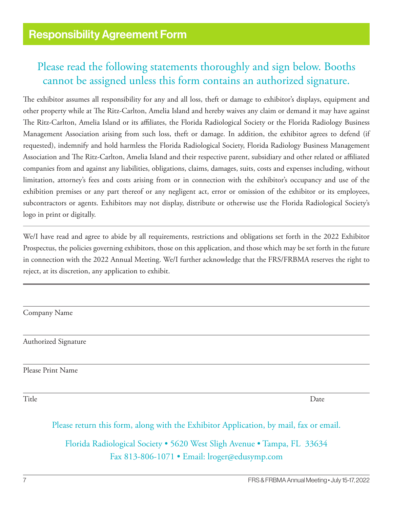# Please read the following statements thoroughly and sign below. Booths cannot be assigned unless this form contains an authorized signature.

The exhibitor assumes all responsibility for any and all loss, theft or damage to exhibitor's displays, equipment and other property while at The Ritz-Carlton, Amelia Island and hereby waives any claim or demand it may have against The Ritz-Carlton, Amelia Island or its affiliates, the Florida Radiological Society or the Florida Radiology Business Management Association arising from such loss, theft or damage. In addition, the exhibitor agrees to defend (if requested), indemnify and hold harmless the Florida Radiological Society, Florida Radiology Business Management Association and The Ritz-Carlton, Amelia Island and their respective parent, subsidiary and other related or affiliated companies from and against any liabilities, obligations, claims, damages, suits, costs and expenses including, without limitation, attorney's fees and costs arising from or in connection with the exhibitor's occupancy and use of the exhibition premises or any part thereof or any negligent act, error or omission of the exhibitor or its employees, subcontractors or agents. Exhibitors may not display, distribute or otherwise use the Florida Radiological Society's logo in print or digitally.

We/I have read and agree to abide by all requirements, restrictions and obligations set forth in the 2022 Exhibitor Prospectus, the policies governing exhibitors, those on this application, and those which may be set forth in the future in connection with the 2022 Annual Meeting. We/I further acknowledge that the FRS/FRBMA reserves the right to reject, at its discretion, any application to exhibit.

Company Name

Authorized Signature

Please Print Name

Title Date

Please return this form, along with the Exhibitor Application, by mail, fax or email.

Florida Radiological Society • 5620 West Sligh Avenue • Tampa, FL 33634 Fax 813-806-1071 • Email: lroger@edusymp.com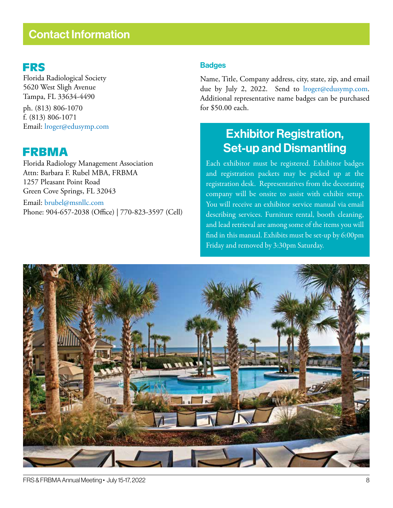# Contact Information

### FRS

Florida Radiological Society 5620 West Sligh Avenue Tampa, FL 33634-4490 ph. (813) 806-1070 f. (813) 806-1071 Email: lroger@edusymp.com

### FRBMA

Florida Radiology Management Association Attn: Barbara F. Rubel MBA, FRBMA 1257 Pleasant Point Road Green Cove Springs, FL 32043

Email: brubel@msnllc.com Phone: 904-657-2038 (Office) | 770-823-3597 (Cell)

### **Badges**

Name, Title, Company address, city, state, zip, and email due by July 2, 2022. Send to *lroger@edusymp.com*. Additional representative name badges can be purchased for \$50.00 each.

# Exhibitor Registration, Set-up and Dismantling

Each exhibitor must be registered. Exhibitor badges and registration packets may be picked up at the registration desk. Representatives from the decorating company will be onsite to assist with exhibit setup. You will receive an exhibitor service manual via email describing services. Furniture rental, booth cleaning, and lead retrieval are among some of the items you will find in this manual. Exhibits must be set-up by 6:00pm Friday and removed by 3:30pm Saturday.

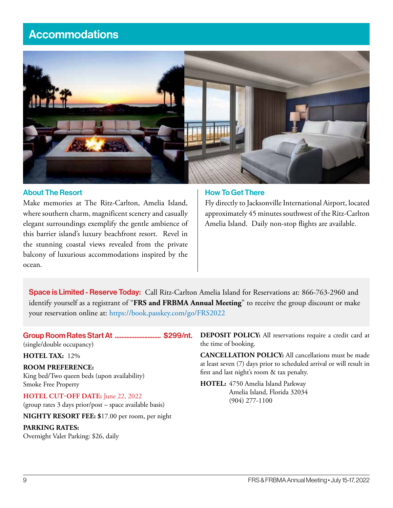# **Accommodations**



#### About The Resort

Make memories at The Ritz-Carlton, Amelia Island, where southern charm, magnificent scenery and casually elegant surroundings exemplify the gentle ambience of this barrier island's luxury beachfront resort. Revel in the stunning coastal views revealed from the private balcony of luxurious accommodations inspired by the ocean.

#### How To Get There

Fly directly to Jacksonville International Airport, located approximately 45 minutes southwest of the Ritz-Carlton Amelia Island. Daily non-stop flights are available.

Space is Limited - Reserve Today: Call Ritz-Carlton Amelia Island for Reservations at: 866-763-2960 and identify yourself as a registrant of "**FRS and FRBMA Annual Meeting**" to receive the group discount or make your reservation online at: https://book.passkey.com/go/FRS2022

### Group Room Rates Start At ............................ \$299/nt.

(single/double occupancy)

**HOTEL TAX:** 12%

**ROOM PREFERENCE:** King bed/Two queen beds (upon availability) Smoke Free Property

**HOTEL CUT-OFF DATE:** June 22, 2022 (group rates 3 days prior/post – space available basis)

**NIGHTY RESORT FEE: \$**17.00 per room, per night

#### **PARKING RATES:**

Overnight Valet Parking: \$26, daily

**DEPOSIT POLICY:** All reservations require a credit card at the time of booking.

**CANCELLATION POLICY:** All cancellations must be made at least seven (7) days prior to scheduled arrival or will result in first and last night's room & tax penalty.

**HOTEL:** 4750 Amelia Island Parkway Amelia Island, Florida 32034 (904) 277-1100